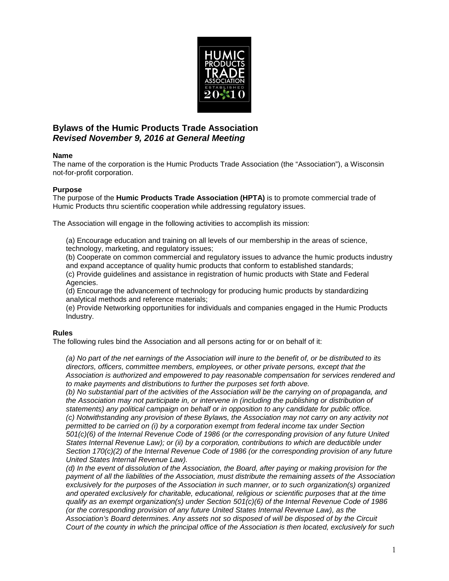

# **Bylaws of the Humic Products Trade Association** *Revised November 9, 2016 at General Meeting*

### **Name**

The name of the corporation is the Humic Products Trade Association (the "Association"), a Wisconsin not-for-profit corporation.

### **Purpose**

The purpose of the **Humic Products Trade Association (HPTA)** is to promote commercial trade of Humic Products thru scientific cooperation while addressing regulatory issues.

The Association will engage in the following activities to accomplish its mission:

(a) Encourage education and training on all levels of our membership in the areas of science, technology, marketing, and regulatory issues;

(b) Cooperate on common commercial and regulatory issues to advance the humic products industry and expand acceptance of quality humic products that conform to established standards;

(c) Provide guidelines and assistance in registration of humic products with State and Federal Agencies.

(d) Encourage the advancement of technology for producing humic products by standardizing analytical methods and reference materials;

(e) Provide Networking opportunities for individuals and companies engaged in the Humic Products Industry.

### **Rules**

The following rules bind the Association and all persons acting for or on behalf of it:

*(a) No part of the net earnings of the Association will inure to the benefit of, or be distributed to its directors, officers, committee members, employees, or other private persons, except that the Association is authorized and empowered to pay reasonable compensation for services rendered and to make payments and distributions to further the purposes set forth above.*

*(b) No substantial part of the activities of the Association will be the carrying on of propaganda, and the Association may not participate in, or intervene in (including the publishing or distribution of statements) any political campaign on behalf or in opposition to any candidate for public office. (c) Notwithstanding any provision of these Bylaws, the Association may not carry on any activity not permitted to be carried on (i) by a corporation exempt from federal income tax under Section 501(c)(6) of the Internal Revenue Code of 1986 (or the corresponding provision of any future United States Internal Revenue Law); or (ii) by a corporation, contributions to which are deductible under Section 170(c)(2) of the Internal Revenue Code of 1986 (or the corresponding provision of any future United States Internal Revenue Law).*

*(d) In the event of dissolution of the Association, the Board, after paying or making provision for the payment of all the liabilities of the Association, must distribute the remaining assets of the Association exclusively for the purposes of the Association in such manner, or to such organization(s) organized and operated exclusively for charitable, educational, religious or scientific purposes that at the time qualify as an exempt organization(s) under Section 501(c)(6) of the Internal Revenue Code of 1986 (or the corresponding provision of any future United States Internal Revenue Law), as the Association's Board determines. Any assets not so disposed of will be disposed of by the Circuit Court of the county in which the principal office of the Association is then located, exclusively for such*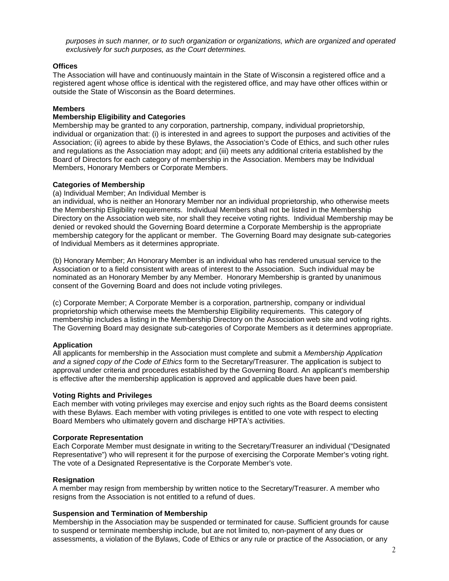*purposes in such manner, or to such organization or organizations, which are organized and operated exclusively for such purposes, as the Court determines.*

### **Offices**

The Association will have and continuously maintain in the State of Wisconsin a registered office and a registered agent whose office is identical with the registered office, and may have other offices within or outside the State of Wisconsin as the Board determines.

### **Members**

## **Membership Eligibility and Categories**

Membership may be granted to any corporation, partnership, company, individual proprietorship, individual or organization that: (i) is interested in and agrees to support the purposes and activities of the Association; (ii) agrees to abide by these Bylaws, the Association's Code of Ethics, and such other rules and regulations as the Association may adopt; and (iii) meets any additional criteria established by the Board of Directors for each category of membership in the Association. Members may be Individual Members, Honorary Members or Corporate Members.

### **Categories of Membership**

(a) Individual Member; An Individual Member is

an individual, who is neither an Honorary Member nor an individual proprietorship, who otherwise meets the Membership Eligibility requirements. Individual Members shall not be listed in the Membership Directory on the Association web site, nor shall they receive voting rights. Individual Membership may be denied or revoked should the Governing Board determine a Corporate Membership is the appropriate membership category for the applicant or member. The Governing Board may designate sub-categories of Individual Members as it determines appropriate.

(b) Honorary Member; An Honorary Member is an individual who has rendered unusual service to the Association or to a field consistent with areas of interest to the Association. Such individual may be nominated as an Honorary Member by any Member. Honorary Membership is granted by unanimous consent of the Governing Board and does not include voting privileges.

(c) Corporate Member; A Corporate Member is a corporation, partnership, company or individual proprietorship which otherwise meets the Membership Eligibility requirements. This category of membership includes a listing in the Membership Directory on the Association web site and voting rights. The Governing Board may designate sub-categories of Corporate Members as it determines appropriate.

### **Application**

All applicants for membership in the Association must complete and submit a *Membership Application and a signed copy of the Code of Ethics* form to the Secretary/Treasurer. The application is subject to approval under criteria and procedures established by the Governing Board. An applicant's membership is effective after the membership application is approved and applicable dues have been paid.

### **Voting Rights and Privileges**

Each member with voting privileges may exercise and enjoy such rights as the Board deems consistent with these Bylaws. Each member with voting privileges is entitled to one vote with respect to electing Board Members who ultimately govern and discharge HPTA's activities.

### **Corporate Representation**

Each Corporate Member must designate in writing to the Secretary/Treasurer an individual ("Designated Representative") who will represent it for the purpose of exercising the Corporate Member's voting right. The vote of a Designated Representative is the Corporate Member's vote.

### **Resignation**

A member may resign from membership by written notice to the Secretary/Treasurer. A member who resigns from the Association is not entitled to a refund of dues.

### **Suspension and Termination of Membership**

Membership in the Association may be suspended or terminated for cause. Sufficient grounds for cause to suspend or terminate membership include, but are not limited to, non-payment of any dues or assessments, a violation of the Bylaws, Code of Ethics or any rule or practice of the Association, or any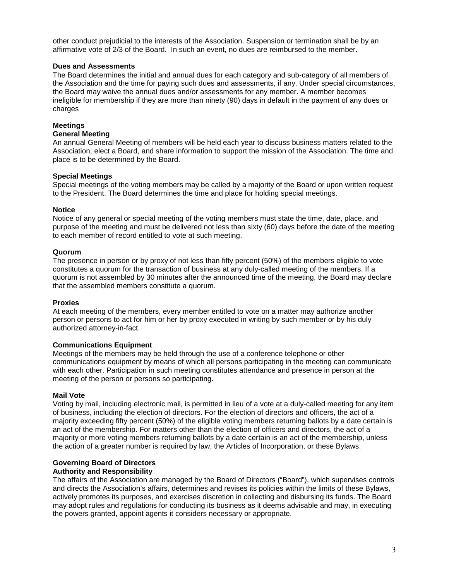other conduct prejudicial to the interests of the Association. Suspension or termination shall be by an affirmative vote of 2/3 of the Board. In such an event, no dues are reimbursed to the member.

### **Dues and Assessments**

The Board determines the initial and annual dues for each category and sub-category of all members of the Association and the time for paying such dues and assessments, if any. Under special circumstances, the Board may waive the annual dues and/or assessments for any member. A member becomes ineligible for membership if they are more than ninety (90) days in default in the payment of any dues or charges

### **Meetings**

### **General Meeting**

An annual General Meeting of members will be held each year to discuss business matters related to the Association, elect a Board, and share information to support the mission of the Association. The time and place is to be determined by the Board.

### **Special Meetings**

Special meetings of the voting members may be called by a majority of the Board or upon written request to the President. The Board determines the time and place for holding special meetings.

### **Notice**

Notice of any general or special meeting of the voting members must state the time, date, place, and purpose of the meeting and must be delivered not less than sixty (60) days before the date of the meeting to each member of record entitled to vote at such meeting.

### **Quorum**

The presence in person or by proxy of not less than fifty percent (50%) of the members eligible to vote constitutes a quorum for the transaction of business at any duly-called meeting of the members. If a quorum is not assembled by 30 minutes after the announced time of the meeting, the Board may declare that the assembled members constitute a quorum.

### **Proxies**

At each meeting of the members, every member entitled to vote on a matter may authorize another person or persons to act for him or her by proxy executed in writing by such member or by his duly authorized attorney-in-fact.

### **Communications Equipment**

Meetings of the members may be held through the use of a conference telephone or other communications equipment by means of which all persons participating in the meeting can communicate with each other. Participation in such meeting constitutes attendance and presence in person at the meeting of the person or persons so participating.

### **Mail Vote**

Voting by mail, including electronic mail, is permitted in lieu of a vote at a duly-called meeting for any item of business, including the election of directors. For the election of directors and officers, the act of a majority exceeding fifty percent (50%) of the eligible voting members returning ballots by a date certain is an act of the membership. For matters other than the election of officers and directors, the act of a majority or more voting members returning ballots by a date certain is an act of the membership, unless the action of a greater number is required by law, the Articles of Incorporation, or these Bylaws.

### **Governing Board of Directors**

### **Authority and Responsibility**

The affairs of the Association are managed by the Board of Directors ("Board"), which supervises controls and directs the Association's affairs, determines and revises its policies within the limits of these Bylaws, actively promotes its purposes, and exercises discretion in collecting and disbursing its funds. The Board may adopt rules and regulations for conducting its business as it deems advisable and may, in executing the powers granted, appoint agents it considers necessary or appropriate.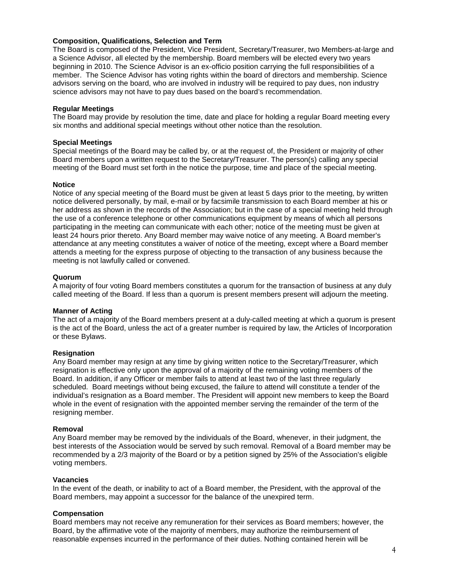### **Composition, Qualifications, Selection and Term**

The Board is composed of the President, Vice President, Secretary/Treasurer, two Members-at-large and a Science Advisor, all elected by the membership. Board members will be elected every two years beginning in 2010. The Science Advisor is an ex-officio position carrying the full responsibilities of a member. The Science Advisor has voting rights within the board of directors and membership. Science advisors serving on the board, who are involved in industry will be required to pay dues, non industry science advisors may not have to pay dues based on the board's recommendation.

### **Regular Meetings**

The Board may provide by resolution the time, date and place for holding a regular Board meeting every six months and additional special meetings without other notice than the resolution.

### **Special Meetings**

Special meetings of the Board may be called by, or at the request of, the President or majority of other Board members upon a written request to the Secretary/Treasurer. The person(s) calling any special meeting of the Board must set forth in the notice the purpose, time and place of the special meeting.

### **Notice**

Notice of any special meeting of the Board must be given at least 5 days prior to the meeting, by written notice delivered personally, by mail, e-mail or by facsimile transmission to each Board member at his or her address as shown in the records of the Association; but in the case of a special meeting held through the use of a conference telephone or other communications equipment by means of which all persons participating in the meeting can communicate with each other; notice of the meeting must be given at least 24 hours prior thereto. Any Board member may waive notice of any meeting. A Board member's attendance at any meeting constitutes a waiver of notice of the meeting, except where a Board member attends a meeting for the express purpose of objecting to the transaction of any business because the meeting is not lawfully called or convened.

### **Quorum**

A majority of four voting Board members constitutes a quorum for the transaction of business at any duly called meeting of the Board. If less than a quorum is present members present will adjourn the meeting.

### **Manner of Acting**

The act of a majority of the Board members present at a duly-called meeting at which a quorum is present is the act of the Board, unless the act of a greater number is required by law, the Articles of Incorporation or these Bylaws.

### **Resignation**

Any Board member may resign at any time by giving written notice to the Secretary/Treasurer, which resignation is effective only upon the approval of a majority of the remaining voting members of the Board. In addition, if any Officer or member fails to attend at least two of the last three regularly scheduled. Board meetings without being excused, the failure to attend will constitute a tender of the individual's resignation as a Board member. The President will appoint new members to keep the Board whole in the event of resignation with the appointed member serving the remainder of the term of the resigning member.

### **Removal**

Any Board member may be removed by the individuals of the Board, whenever, in their judgment, the best interests of the Association would be served by such removal. Removal of a Board member may be recommended by a 2/3 majority of the Board or by a petition signed by 25% of the Association's eligible voting members.

### **Vacancies**

In the event of the death, or inability to act of a Board member, the President, with the approval of the Board members, may appoint a successor for the balance of the unexpired term.

### **Compensation**

Board members may not receive any remuneration for their services as Board members; however, the Board, by the affirmative vote of the majority of members, may authorize the reimbursement of reasonable expenses incurred in the performance of their duties. Nothing contained herein will be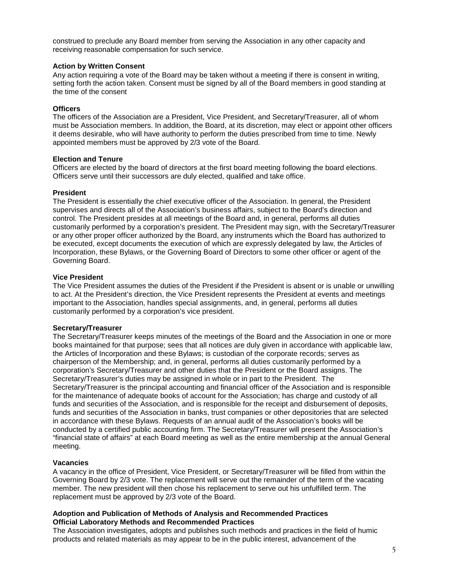construed to preclude any Board member from serving the Association in any other capacity and receiving reasonable compensation for such service.

#### **Action by Written Consent**

Any action requiring a vote of the Board may be taken without a meeting if there is consent in writing, setting forth the action taken. Consent must be signed by all of the Board members in good standing at the time of the consent

### **Officers**

The officers of the Association are a President, Vice President, and Secretary/Treasurer, all of whom must be Association members. In addition, the Board, at its discretion, may elect or appoint other officers it deems desirable, who will have authority to perform the duties prescribed from time to time. Newly appointed members must be approved by 2/3 vote of the Board.

### **Election and Tenure**

Officers are elected by the board of directors at the first board meeting following the board elections. Officers serve until their successors are duly elected, qualified and take office.

### **President**

The President is essentially the chief executive officer of the Association. In general, the President supervises and directs all of the Association's business affairs, subject to the Board's direction and control. The President presides at all meetings of the Board and, in general, performs all duties customarily performed by a corporation's president. The President may sign, with the Secretary/Treasurer or any other proper officer authorized by the Board, any instruments which the Board has authorized to be executed, except documents the execution of which are expressly delegated by law, the Articles of Incorporation, these Bylaws, or the Governing Board of Directors to some other officer or agent of the Governing Board.

### **Vice President**

The Vice President assumes the duties of the President if the President is absent or is unable or unwilling to act. At the President's direction, the Vice President represents the President at events and meetings important to the Association, handles special assignments, and, in general, performs all duties customarily performed by a corporation's vice president.

### **Secretary/Treasurer**

The Secretary/Treasurer keeps minutes of the meetings of the Board and the Association in one or more books maintained for that purpose; sees that all notices are duly given in accordance with applicable law, the Articles of Incorporation and these Bylaws; is custodian of the corporate records; serves as chairperson of the Membership; and, in general, performs all duties customarily performed by a corporation's Secretary/Treasurer and other duties that the President or the Board assigns. The Secretary/Treasurer's duties may be assigned in whole or in part to the President. The Secretary/Treasurer is the principal accounting and financial officer of the Association and is responsible for the maintenance of adequate books of account for the Association; has charge and custody of all funds and securities of the Association, and is responsible for the receipt and disbursement of deposits, funds and securities of the Association in banks, trust companies or other depositories that are selected in accordance with these Bylaws. Requests of an annual audit of the Association's books will be conducted by a certified public accounting firm. The Secretary/Treasurer will present the Association's "financial state of affairs" at each Board meeting as well as the entire membership at the annual General meeting.

### **Vacancies**

A vacancy in the office of President, Vice President, or Secretary/Treasurer will be filled from within the Governing Board by 2/3 vote. The replacement will serve out the remainder of the term of the vacating member. The new president will then chose his replacement to serve out his unfulfilled term. The replacement must be approved by 2/3 vote of the Board.

#### **Adoption and Publication of Methods of Analysis and Recommended Practices Official Laboratory Methods and Recommended Practices**

The Association investigates, adopts and publishes such methods and practices in the field of humic products and related materials as may appear to be in the public interest, advancement of the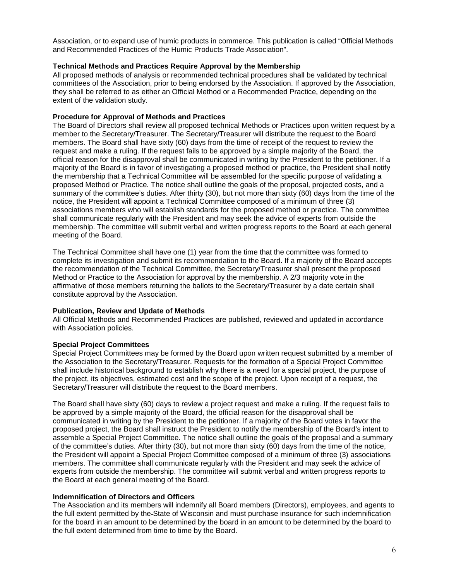Association, or to expand use of humic products in commerce. This publication is called "Official Methods and Recommended Practices of the Humic Products Trade Association".

### **Technical Methods and Practices Require Approval by the Membership**

All proposed methods of analysis or recommended technical procedures shall be validated by technical committees of the Association, prior to being endorsed by the Association. If approved by the Association, they shall be referred to as either an Official Method or a Recommended Practice, depending on the extent of the validation study.

### **Procedure for Approval of Methods and Practices**

The Board of Directors shall review all proposed technical Methods or Practices upon written request by a member to the Secretary/Treasurer. The Secretary/Treasurer will distribute the request to the Board members. The Board shall have sixty (60) days from the time of receipt of the request to review the request and make a ruling. If the request fails to be approved by a simple majority of the Board, the official reason for the disapproval shall be communicated in writing by the President to the petitioner. If a majority of the Board is in favor of investigating a proposed method or practice, the President shall notify the membership that a Technical Committee will be assembled for the specific purpose of validating a proposed Method or Practice. The notice shall outline the goals of the proposal, projected costs, and a summary of the committee's duties. After thirty (30), but not more than sixty (60) days from the time of the notice, the President will appoint a Technical Committee composed of a minimum of three (3) associations members who will establish standards for the proposed method or practice. The committee shall communicate regularly with the President and may seek the advice of experts from outside the membership. The committee will submit verbal and written progress reports to the Board at each general meeting of the Board.

The Technical Committee shall have one (1) year from the time that the committee was formed to complete its investigation and submit its recommendation to the Board. If a majority of the Board accepts the recommendation of the Technical Committee, the Secretary/Treasurer shall present the proposed Method or Practice to the Association for approval by the membership. A 2/3 majority vote in the affirmative of those members returning the ballots to the Secretary/Treasurer by a date certain shall constitute approval by the Association.

### **Publication, Review and Update of Methods**

All Official Methods and Recommended Practices are published, reviewed and updated in accordance with Association policies.

### **Special Project Committees**

Special Project Committees may be formed by the Board upon written request submitted by a member of the Association to the Secretary/Treasurer. Requests for the formation of a Special Project Committee shall include historical background to establish why there is a need for a special project, the purpose of the project, its objectives, estimated cost and the scope of the project. Upon receipt of a request, the Secretary/Treasurer will distribute the request to the Board members.

The Board shall have sixty (60) days to review a project request and make a ruling. If the request fails to be approved by a simple majority of the Board, the official reason for the disapproval shall be communicated in writing by the President to the petitioner. If a majority of the Board votes in favor the proposed project, the Board shall instruct the President to notify the membership of the Board's intent to assemble a Special Project Committee. The notice shall outline the goals of the proposal and a summary of the committee's duties. After thirty (30), but not more than sixty (60) days from the time of the notice, the President will appoint a Special Project Committee composed of a minimum of three (3) associations members. The committee shall communicate regularly with the President and may seek the advice of experts from outside the membership. The committee will submit verbal and written progress reports to the Board at each general meeting of the Board.

### **Indemnification of Directors and Officers**

The Association and its members will indemnify all Board members (Directors), employees, and agents to the full extent permitted by the State of Wisconsin and must purchase insurance for such indemnification for the board in an amount to be determined by the board in an amount to be determined by the board to the full extent determined from time to time by the Board.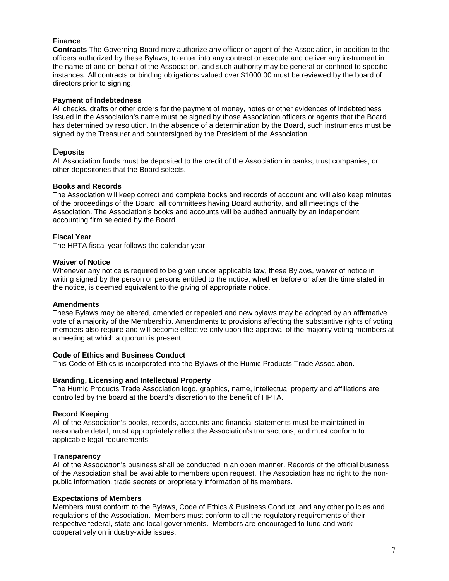### **Finance**

**Contracts** The Governing Board may authorize any officer or agent of the Association, in addition to the officers authorized by these Bylaws, to enter into any contract or execute and deliver any instrument in the name of and on behalf of the Association, and such authority may be general or confined to specific instances. All contracts or binding obligations valued over \$1000.00 must be reviewed by the board of directors prior to signing.

### **Payment of Indebtedness**

All checks, drafts or other orders for the payment of money, notes or other evidences of indebtedness issued in the Association's name must be signed by those Association officers or agents that the Board has determined by resolution. In the absence of a determination by the Board, such instruments must be signed by the Treasurer and countersigned by the President of the Association.

### D**eposits**

All Association funds must be deposited to the credit of the Association in banks, trust companies, or other depositories that the Board selects.

### **Books and Records**

The Association will keep correct and complete books and records of account and will also keep minutes of the proceedings of the Board, all committees having Board authority, and all meetings of the Association. The Association's books and accounts will be audited annually by an independent accounting firm selected by the Board.

### **Fiscal Year**

The HPTA fiscal year follows the calendar year.

### **Waiver of Notice**

Whenever any notice is required to be given under applicable law, these Bylaws, waiver of notice in writing signed by the person or persons entitled to the notice, whether before or after the time stated in the notice, is deemed equivalent to the giving of appropriate notice.

### **Amendments**

These Bylaws may be altered, amended or repealed and new bylaws may be adopted by an affirmative vote of a majority of the Membership. Amendments to provisions affecting the substantive rights of voting members also require and will become effective only upon the approval of the majority voting members at a meeting at which a quorum is present.

### **Code of Ethics and Business Conduct**

This Code of Ethics is incorporated into the Bylaws of the Humic Products Trade Association.

### **Branding, Licensing and Intellectual Property**

The Humic Products Trade Association logo, graphics, name, intellectual property and affiliations are controlled by the board at the board's discretion to the benefit of HPTA.

### **Record Keeping**

All of the Association's books, records, accounts and financial statements must be maintained in reasonable detail, must appropriately reflect the Association's transactions, and must conform to applicable legal requirements.

### **Transparency**

All of the Association's business shall be conducted in an open manner. Records of the official business of the Association shall be available to members upon request. The Association has no right to the nonpublic information, trade secrets or proprietary information of its members.

### **Expectations of Members**

Members must conform to the Bylaws, Code of Ethics & Business Conduct, and any other policies and regulations of the Association. Members must conform to all the regulatory requirements of their respective federal, state and local governments. Members are encouraged to fund and work cooperatively on industry-wide issues.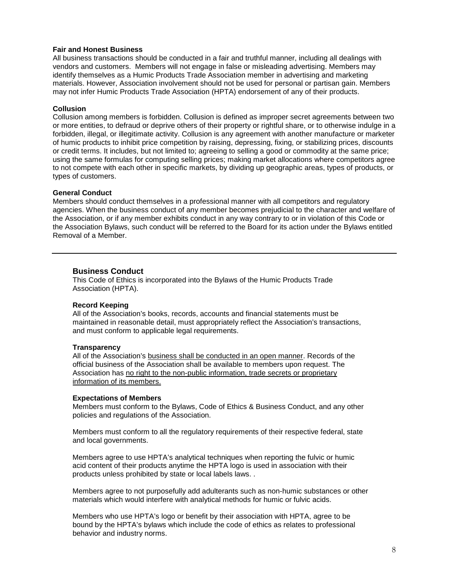#### **Fair and Honest Business**

All business transactions should be conducted in a fair and truthful manner, including all dealings with vendors and customers. Members will not engage in false or misleading advertising. Members may identify themselves as a Humic Products Trade Association member in advertising and marketing materials. However, Association involvement should not be used for personal or partisan gain. Members may not infer Humic Products Trade Association (HPTA) endorsement of any of their products.

#### **Collusion**

Collusion among members is forbidden. Collusion is defined as improper secret agreements between two or more entities, to defraud or deprive others of their property or rightful share, or to otherwise indulge in a forbidden, illegal, or illegitimate activity. Collusion is any agreement with another manufacture or marketer of humic products to inhibit price competition by raising, depressing, fixing, or stabilizing prices, discounts or credit terms. It includes, but not limited to; agreeing to selling a good or commodity at the same price; using the same formulas for computing selling prices; making market allocations where competitors agree to not compete with each other in specific markets, by dividing up geographic areas, types of products, or types of customers.

#### **General Conduct**

Members should conduct themselves in a professional manner with all competitors and regulatory agencies. When the business conduct of any member becomes prejudicial to the character and welfare of the Association, or if any member exhibits conduct in any way contrary to or in violation of this Code or the Association Bylaws, such conduct will be referred to the Board for its action under the Bylaws entitled Removal of a Member.

### **Business Conduct**

This Code of Ethics is incorporated into the Bylaws of the Humic Products Trade Association (HPTA).

#### **Record Keeping**

All of the Association's books, records, accounts and financial statements must be maintained in reasonable detail, must appropriately reflect the Association's transactions, and must conform to applicable legal requirements.

#### **Transparency**

All of the Association's business shall be conducted in an open manner. Records of the official business of the Association shall be available to members upon request. The Association has no right to the non-public information, trade secrets or proprietary information of its members.

#### **Expectations of Members**

Members must conform to the Bylaws, Code of Ethics & Business Conduct, and any other policies and regulations of the Association.

Members must conform to all the regulatory requirements of their respective federal, state and local governments.

Members agree to use HPTA's analytical techniques when reporting the fulvic or humic acid content of their products anytime the HPTA logo is used in association with their products unless prohibited by state or local labels laws. .

Members agree to not purposefully add adulterants such as non-humic substances or other materials which would interfere with analytical methods for humic or fulvic acids.

Members who use HPTA's logo or benefit by their association with HPTA, agree to be bound by the HPTA's bylaws which include the code of ethics as relates to professional behavior and industry norms.